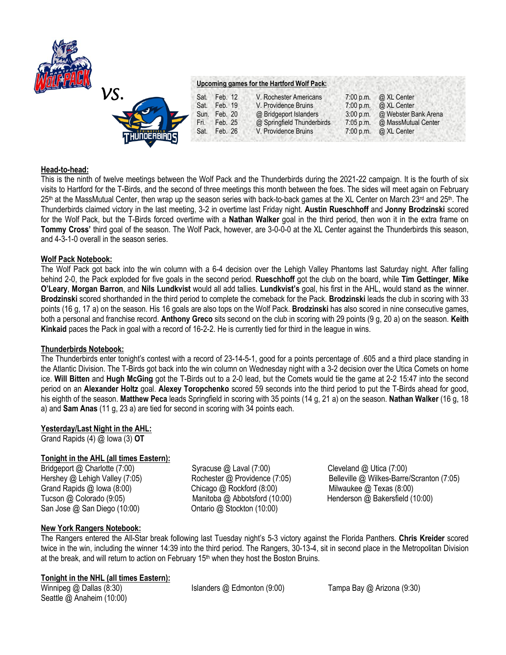

# *VS.*  **Upcoming games for the Hartford Wolf Pack:** Sat. Feb. 12 V. Rochester Americans 7:00 p.m. @ XL Center<br>Sat. Feb. 19 V. Providence Bruins 7:00 p.m. @ XL Center Sat. Feb. 19 V. Providence Bruins 7:00 p.m. @ XL Center<br>Sun. Feb. 20 @ Bridgeport Islanders 3:00 p.m. @ Webster B Sun. Feb. 20 @ Bridgeport Islanders 3:00 p.m. @ Webster Bank Arena Fri. Feb. 25 @ Springfield Thunderbirds 7:05 p.m. @ MassMutual Center Sat. Feb. 26 V. Providence Bruins 7:00 p.m. @ XL Center

## **Head-to-head:**

This is the ninth of twelve meetings between the Wolf Pack and the Thunderbirds during the 2021-22 campaign. It is the fourth of six visits to Hartford for the T-Birds, and the second of three meetings this month between the foes. The sides will meet again on February 25<sup>th</sup> at the MassMutual Center, then wrap up the season series with back-to-back games at the XL Center on March 23<sup>rd</sup> and 25<sup>th</sup>. The Thunderbirds claimed victory in the last meeting, 3-2 in overtime last Friday night. **Austin Rueschhoff** and **Jonny Brodzinski** scored for the Wolf Pack, but the T-Birds forced overtime with a **Nathan Walker** goal in the third period, then won it in the extra frame on **Tommy Cross'** third goal of the season. The Wolf Pack, however, are 3-0-0-0 at the XL Center against the Thunderbirds this season, and 4-3-1-0 overall in the season series.

## **Wolf Pack Notebook:**

The Wolf Pack got back into the win column with a 6-4 decision over the Lehigh Valley Phantoms last Saturday night. After falling behind 2-0, the Pack exploded for five goals in the second period. **Rueschhoff** got the club on the board, while **Tim Gettinger**, **Mike O'Leary**, **Morgan Barron**, and **Nils Lundkvist** would all add tallies. **Lundkvist's** goal, his first in the AHL, would stand as the winner. **Brodzinski** scored shorthanded in the third period to complete the comeback for the Pack. **Brodzinski** leads the club in scoring with 33 points (16 g, 17 a) on the season. His 16 goals are also tops on the Wolf Pack. **Brodzinski** has also scored in nine consecutive games, both a personal and franchise record. **Anthony Greco** sits second on the club in scoring with 29 points (9 g, 20 a) on the season. **Keith Kinkaid** paces the Pack in goal with a record of 16-2-2. He is currently tied for third in the league in wins.

## **Thunderbirds Notebook:**

The Thunderbirds enter tonight's contest with a record of 23-14-5-1, good for a points percentage of .605 and a third place standing in the Atlantic Division. The T-Birds got back into the win column on Wednesday night with a 3-2 decision over the Utica Comets on home ice. **Will Bitten** and **Hugh McGing** got the T-Birds out to a 2-0 lead, but the Comets would tie the game at 2-2 15:47 into the second period on an **Alexander Holtz** goal. **Alexey Toropchenko** scored 59 seconds into the third period to put the T-Birds ahead for good, his eighth of the season. **Matthew Peca** leads Springfield in scoring with 35 points (14 g, 21 a) on the season. **Nathan Walker** (16 g, 18 a) and **Sam Anas** (11 g, 23 a) are tied for second in scoring with 34 points each.

# **Yesterday/Last Night in the AHL:**

Grand Rapids (4) @ Iowa (3) **OT**

# **Tonight in the AHL (all times Eastern):**

Bridgeport @ Charlotte (7:00) Syracuse @ Laval (7:00) Cleveland @ Utica (7:00) Grand Rapids @ Iowa (8:00) Chicago @ Rockford (8:00) Milwaukee @ Texas (8:00) Tucson @ Colorado (9:05) Manitoba @ Abbotsford (10:00) Henderson @ Bakersfield (10:00) San Jose @ San Diego (10:00) Ontario @ Stockton (10:00)

Hershey @ Lehigh Valley (7:05) Rochester @ Providence (7:05) Belleville @ Wilkes-Barre/Scranton (7:05)

# **New York Rangers Notebook:**

The Rangers entered the All-Star break following last Tuesday night's 5-3 victory against the Florida Panthers. **Chris Kreider** scored twice in the win, including the winner 14:39 into the third period. The Rangers, 30-13-4, sit in second place in the Metropolitan Division at the break, and will return to action on February  $15<sup>th</sup>$  when they host the Boston Bruins.

## **Tonight in the NHL (all times Eastern):**

Seattle @ Anaheim (10:00)

Winnipeg @ Dallas (8:30) Islanders @ Edmonton (9:00) Tampa Bay @ Arizona (9:30)